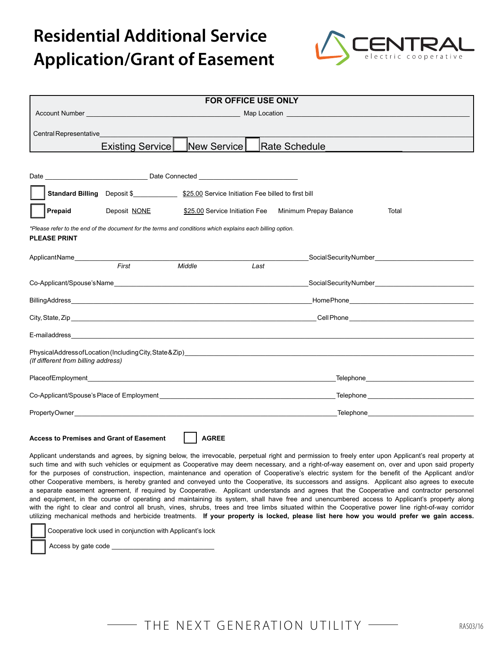

| <b>FOR OFFICE USE ONLY</b>                                                                                                       |                                                                                                  |             |      |                                                                |
|----------------------------------------------------------------------------------------------------------------------------------|--------------------------------------------------------------------------------------------------|-------------|------|----------------------------------------------------------------|
| Account Number <b>Account Number Account 2018</b>                                                                                |                                                                                                  |             |      |                                                                |
|                                                                                                                                  |                                                                                                  |             |      |                                                                |
| Central Representative <b>Central Representative</b>                                                                             |                                                                                                  |             |      |                                                                |
|                                                                                                                                  | Existing Service                                                                                 | New Service |      | Rate Schedule                                                  |
|                                                                                                                                  |                                                                                                  |             |      |                                                                |
|                                                                                                                                  |                                                                                                  |             |      |                                                                |
|                                                                                                                                  | Standard Billing Deposit \$_________________ \$25.00 Service Initiation Fee billed to first bill |             |      |                                                                |
| Prepaid                                                                                                                          | Deposit NONE                                                                                     |             |      | \$25.00 Service Initiation Fee Minimum Prepay Balance<br>Total |
| *Please refer to the end of the document for the terms and conditions which explains each billing option.<br><b>PLEASE PRINT</b> |                                                                                                  |             |      |                                                                |
| ApplicantName________________                                                                                                    |                                                                                                  |             |      |                                                                |
|                                                                                                                                  | First                                                                                            | Middle      | Last |                                                                |
|                                                                                                                                  |                                                                                                  |             |      |                                                                |
|                                                                                                                                  |                                                                                                  |             |      |                                                                |
|                                                                                                                                  |                                                                                                  |             |      |                                                                |
|                                                                                                                                  |                                                                                                  |             |      |                                                                |
|                                                                                                                                  |                                                                                                  |             |      |                                                                |
| (If different from billing address)                                                                                              |                                                                                                  |             |      |                                                                |
|                                                                                                                                  |                                                                                                  |             |      |                                                                |
|                                                                                                                                  |                                                                                                  |             |      |                                                                |
|                                                                                                                                  |                                                                                                  |             |      |                                                                |
| Access to Premises and Grant of Fasement<br><b>AGREE</b>                                                                         |                                                                                                  |             |      |                                                                |

**Access to Premises and Grant of Easement AGREE** 

Applicant understands and agrees, by signing below, the irrevocable, perpetual right and permission to freely enter upon Applicant's real property at such time and with such vehicles or equipment as Cooperative may deem necessary, and a right-of-way easement on, over and upon said property for the purposes of construction, inspection, maintenance and operation of Cooperative's electric system for the benefit of the Applicant and/or other Cooperative members, is hereby granted and conveyed unto the Cooperative, its successors and assigns. Applicant also agrees to execute a separate easement agreement, if required by Cooperative. Applicant understands and agrees that the Cooperative and contractor personnel and equipment, in the course of operating and maintaining its system, shall have free and unencumbered access to Applicant's property along with the right to clear and control all brush, vines, shrubs, trees and tree limbs situated within the Cooperative power line right-of-way corridor utilizing mechanical methods and herbicide treatments. **If your property is locked, please list here how you would prefer we gain access.** 

Cooperative lock used in conjunction with Applicant's lock

Access by gate code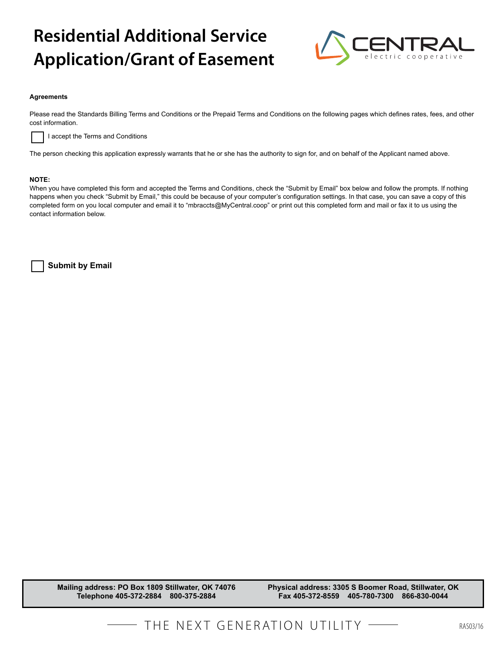

#### **Agreements**

Please read the Standards Billing Terms and Conditions or the Prepaid Terms and Conditions on the following pages which defines rates, fees, and other cost information.



I accept the Terms and Conditions

The person checking this application expressly warrants that he or she has the authority to sign for, and on behalf of the Applicant named above.

### **NOTE:**

When you have completed this form and accepted the Terms and Conditions, check the "Submit by Email" box below and follow the prompts. If nothing happens when you check "Submit by Email," this could be because of your computer's configuration settings. In that case, you can save a copy of this completed form on you local computer and email it to "mbraccts@MyCentral.coop" or print out this completed form and mail or fax it to us using the contact information below.

 **Submit by Email**

**Mailing address: PO Box 1809 Stillwater, OK 74076 Telephone 405-372-2884 800-375-2884**

**Physical address: 3305 S Boomer Road, Stillwater, OK Fax 405-372-8559 405-780-7300 866-830-0044**

THE NEXT GENERATION UTILITY **- RASO3/16**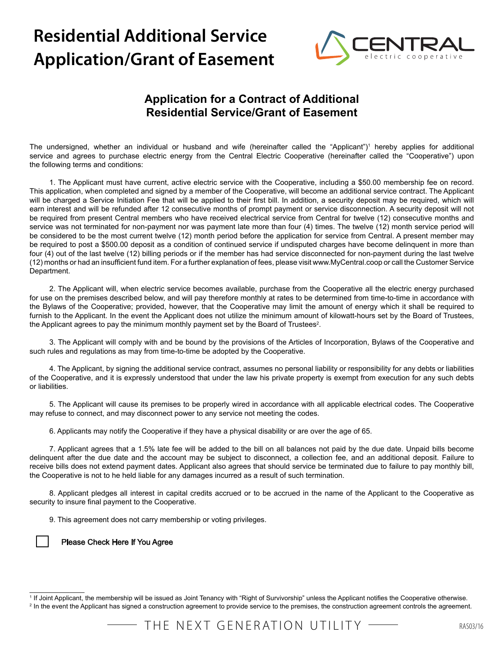

# **Application for a Contract of Additional Residential Service/Grant of Easement**

The undersigned, whether an individual or husband and wife (hereinafter called the "Applicant")<sup>1</sup> hereby applies for additional service and agrees to purchase electric energy from the Central Electric Cooperative (hereinafter called the "Cooperative") upon the following terms and conditions:

1. The Applicant must have current, active electric service with the Cooperative, including a \$50.00 membership fee on record. This application, when completed and signed by a member of the Cooperative, will become an additional service contract. The Applicant will be charged a Service Initiation Fee that will be applied to their first bill. In addition, a security deposit may be required, which will earn interest and will be refunded after 12 consecutive months of prompt payment or service disconnection. A security deposit will not be required from present Central members who have received electrical service from Central for twelve (12) consecutive months and service was not terminated for non-payment nor was payment late more than four (4) times. The twelve (12) month service period will be considered to be the most current twelve (12) month period before the application for service from Central. A present member may be required to post a \$500.00 deposit as a condition of continued service if undisputed charges have become delinquent in more than four (4) out of the last twelve (12) billing periods or if the member has had service disconnected for non-payment during the last twelve (12) months or had an insufficient fund item. For a further explanation of fees, please visit www.MyCentral.coop or call the Customer Service Department.

2. The Applicant will, when electric service becomes available, purchase from the Cooperative all the electric energy purchased for use on the premises described below, and will pay therefore monthly at rates to be determined from time-to-time in accordance with the Bylaws of the Cooperative; provided, however, that the Cooperative may limit the amount of energy which it shall be required to furnish to the Applicant. In the event the Applicant does not utilize the minimum amount of kilowatt-hours set by the Board of Trustees, the Applicant agrees to pay the minimum monthly payment set by the Board of Trustees<sup>2</sup>.

3. The Applicant will comply with and be bound by the provisions of the Articles of Incorporation, Bylaws of the Cooperative and such rules and regulations as may from time-to-time be adopted by the Cooperative.

4. The Applicant, by signing the additional service contract, assumes no personal liability or responsibility for any debts or liabilities of the Cooperative, and it is expressly understood that under the law his private property is exempt from execution for any such debts or liabilities.

5. The Applicant will cause its premises to be properly wired in accordance with all applicable electrical codes. The Cooperative may refuse to connect, and may disconnect power to any service not meeting the codes.

6. Applicants may notify the Cooperative if they have a physical disability or are over the age of 65.

7. Applicant agrees that a 1.5% late fee will be added to the bill on all balances not paid by the due date. Unpaid bills become delinquent after the due date and the account may be subject to disconnect, a collection fee, and an additional deposit. Failure to receive bills does not extend payment dates. Applicant also agrees that should service be terminated due to failure to pay monthly bill, the Cooperative is not to he held liable for any damages incurred as a result of such termination.

8. Applicant pledges all interest in capital credits accrued or to be accrued in the name of the Applicant to the Cooperative as security to insure final payment to the Cooperative.

9. This agreement does not carry membership or voting privileges.

## Please Check Here If You Agree

\_\_\_\_\_\_\_\_\_\_\_\_\_\_\_

THE NEXT GENERATION UTILITY ——

<sup>1</sup> If Joint Applicant, the membership will be issued as Joint Tenancy with "Right of Survivorship" unless the Applicant notifies the Cooperative otherwise. <sup>2</sup> In the event the Applicant has signed a construction agreement to provide service to the premises, the construction agreement controls the agreement.